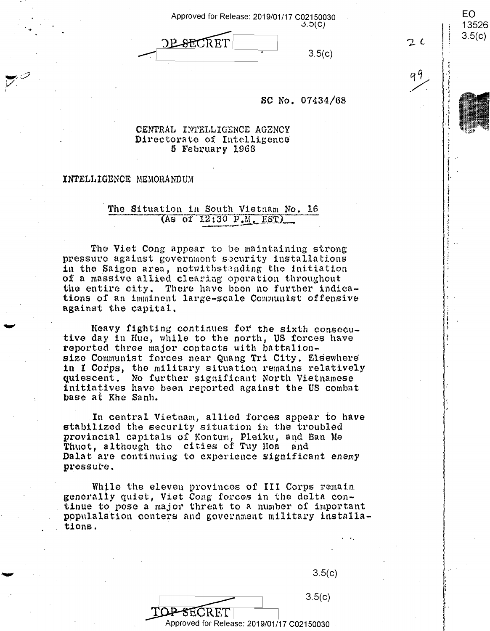| Approved for Release: 2019/01/17 C02150030 | 3.5(C) |
|--------------------------------------------|--------|
| <b>DESECRET</b>                            | 3.5(c) |

EO.

 $2c$ 

13526

 $3.5(c)$ 

#### SC No. 07434/68

### CENTRAL INTELLIGENCE AGENCY Directorate of Intelligence 5 February 1968

### INTELLIGENCE MEMORANDUM

## The Situation in South Vietnam No. 16  $($ As of  $12:30$   $P.M.$   $EST$  $)$

The Viet Cong appear to be maintaining strong pressure against government security installations in the Saigon area, notwithstanding the initiation of a massive allied clearing operation throughout the entire city. There have been no further indications of an imminent large-scale Communist offensive against the capital.

Heavy fighting continues for the sixth consecutive day in Hue, while to the north, US forces have reported three major contacts with battalionsize Communist forces near Quang Tri City. Elsewhere in I Corps, the military situation remains relatively quiescent. No further significant North Vietnamese initiatives have been reported against the US combat base at Khe Sanh.

In central Vietnam, allied forces appear to have stabilized the security situation in the troubled provincial capitals of Kontum, Pleiku, and Ban Me Thuot, although the cities of Tuy Hon and Dalat are continuing to experience significant enemy pressure.

While the eleven provinces of III Corps remain generally quiet, Viet Cong forces in the delta continue to pose a major threat to a number of important populalation conters and government military installations.

 $3.5(c)$ 

 $3.5(c)$ TOP-SECRET

Approved for Release: 2019/01/17 C02150030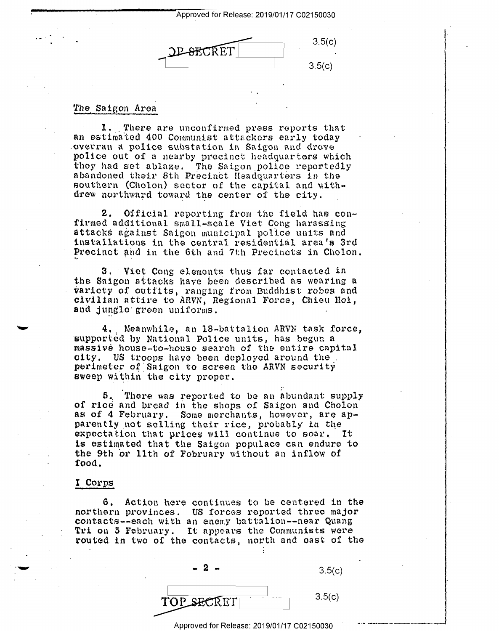Approved for Release: 2019/01/17 C02150030 Apereved for Release: 2019/01/17 002150030

 $3.5(c)$  $3.5(c)$ L-SECRET |  $3.5(c)$ 

## The Saigon Area

1. There are unconfirmed press reports that an estimated 400 Communist attackers early today .overran a police substation in Saigon and drove .overran <sup>a</sup> police substation in Saigon and drove police out of a nearby precinct headquarters which police out of'a nearby precinct headquarters which they had set ablaze. The Saigon police reportedly they had set ablaze. The Saigon police reportedly abandoned their 8th Precinct Headquarters in the southern (Cholon) sector of the capital and with-southern (Cholon) sector of the capital and withdrew northward toward the center of the city.

2. Official reporting from tho field has con-2. Official reporting from the field has confirmed additional small-scale Viet Cong harassing attacks against Saigon municipal pol'ice units and attacks against Saigon municipal police units and installations in the central residential area's 3rd Precinct and in the 6th and 7th Precincts in Cholon.

3. Viet Cong elements thus far contacted in the Saigon attacks have been described as wearing a taricty of outfits, ranging from Buddhist robes and variety of outfits, ranging from Buddhist robes and civilian attire to ARVN, Regional Force, Chieu Hoi, civilian attire to ARVN, Regional Force, Chico Roi, and jungle green uniforms.  $\mathcal{L}_{\text{max}}$ 

**4 ..** Meanwhile, an 18-battalion ARVN task f6rce, 4., Meanwhile,\_an 18~battalion ARVN task force, supported by National Police units, has begun a massive houso-to-houso search of tho entire capital massive house—to-houso search of the entire Capital **city.** US troops have been deployed around the. city. US trOOps have been deployed around the\_. perimeter of Saigon to screen the ARVN security sweep within the city proper.

5~ There was reported to be an abundant supply 5. There was reported to be an abundant supply of rice and bread in the shops of Saigon and Cholon as of 4 February. Some merchants, however, are apparently not selling their rice, probably in the partners not sexting their rice, pressairs in the partner. is estimated that the Saigon populace can endure to the 9th or 11th of February without an inflow of **food,**  food.

# I Corps I\_Corps

. .\_...

G. Action here continues ta be centered in the 6. Action here continues to be centered in the northern provinces. US forces reported three major northern provinces. US forces reported three major contacts--each with an enemy battalion--near Quang conducts cuch with an enough baccarron hour gaing<br>Tri on 5 February. It appears the Communists were routed in two of the contacts, north and east of the

| $\sim$<br>$\sim$ | 3.5(c) |
|------------------|--------|
| TOP SECRET       | 3.5(c) |

Approved for Release: 2019/01/17 C02150030 **1997** 

'1

minister of the company services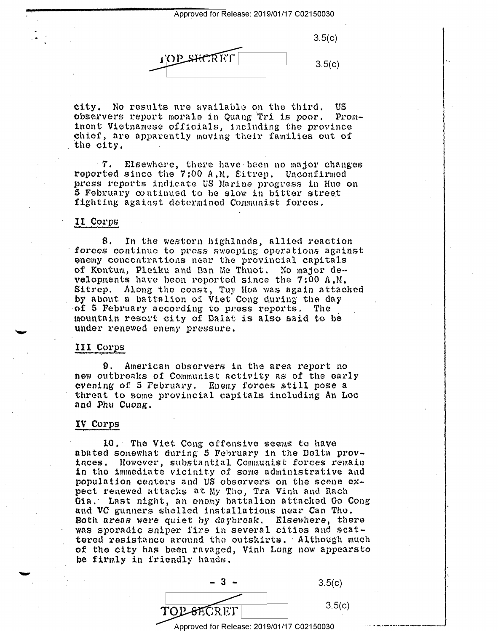Approved for Release: 2019/01/17 C02150030 Approved for Release: 2019/01/17 002150030

 $3.5(c)$ 3.5(c) I'OP SHORET

city. No results nre available on tho third. US city. No results are available on the third. US observers report morale in Quang Tri is poor. Prominent Vietnamese officials, including the province chief, are apparently moving their families out of the city.

**7.** Elsewhere, there have been no major changes reported since the 7:00 A.M. Sitrep. Unconfirmed press reports indicate US Narine progress in Hue on press reports indicate US Marine progress in Hue on 5 February continued to be slow in bitter street fighting against determined Cmnmunist forces. fighting against determined Communist forces. '7. Elsewhere, there have-been no major changes

# II Corps 11 Corps

8. In the western highlands, allied reaction<br>forces continue to press sweeping operations against ~nemy concentrations near the provincial capitals enemy concentrations near the provincial capitals of Kontum, Pleiku and Ban Me Thuot. No major developments have been reported since the 7:00 A.M. velopments have been reported since the 7:00 A.M. Sitrep. Along the coast, Tuy Hoa was again attacked by about a battalion of Viet Cong during the day<br>of 5 February according to press reports. The mountain resort city of Dalat is also said to be under renewed enemy pressure. under renewed enemy pressure. 8. In the western highlands, allied reaction of 5 February according to press reports. The

# III Corps

**9.** American observers in the area report no 9. American observers in the area report no new outbreaks of Communist activity as of the early new outbreaks of communist activity as of the early evening of 5 February. Enemy forces still pose a threat to some provincial capitals including An Loc and Phu Cuong.

## **IV Col"PS**  IV Corps

10, Tho Viet Cong offensive seems to have 10.- The Viet Cong offensive seems to have abated somewhat during 5 February in the Delta prov-<br>inces. However, substantial Communist forces remain in tho immediate vicinity of s01ne administrative and in the immediate vicinity of some administrative and populntion centers and US observers on the scene ex-population centers and US observers on the scene ex pect renewed attacks at My Tho, Tra Vinh and Rach Gia.· Last night, an enemy battalion attnclwd Go Cong Gia.' Last night, an enemy battalion attacked Go Cong and VC gunners shelled installations near Can Tho. Both areas were quiet by daybroak, Elsewhere, there Both areas were quiet by daybreak. Elsewhere, there wns sporadic sniper fire in several cities and scat-was sporadic sniper fire in several cities and scattered resistance around tho outskirts.· Although much tered resistance around the outskirts. -Although much be firmly in friendly hands. abated somewhat during 5 February in the Delta prov— Mostantial Communist forces remain<br>
it inity of Some administrative and<br>
is and US observers on the scene ex-<br>
ks at My Tho, Tra Vinh and Rach<br>
an enomy battalion attacked Go Cong<br>
illed installations near Can Tho.<br>
iet by



Approved for Release: 2019/01/17 C02150030